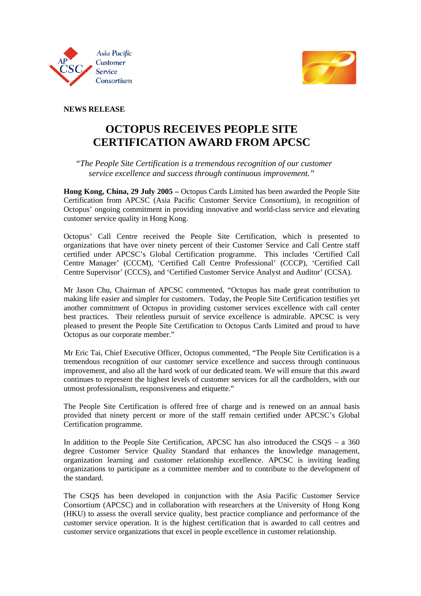



**NEWS RELEASE** 

## **OCTOPUS RECEIVES PEOPLE SITE CERTIFICATION AWARD FROM APCSC**

## *"The People Site Certification is a tremendous recognition of our customer service excellence and success through continuous improvement."*

**Hong Kong, China, 29 July 2005 –** Octopus Cards Limited has been awarded the People Site Certification from APCSC (Asia Pacific Customer Service Consortium), in recognition of Octopus' ongoing commitment in providing innovative and world-class service and elevating customer service quality in Hong Kong.

Octopus' Call Centre received the People Site Certification, which is presented to organizations that have over ninety percent of their Customer Service and Call Centre staff certified under APCSC's Global Certification programme. This includes 'Certified Call Centre Manager' (CCCM), 'Certified Call Centre Professional' (CCCP), 'Certified Call Centre Supervisor' (CCCS), and 'Certified Customer Service Analyst and Auditor' (CCSA).

Mr Jason Chu, Chairman of APCSC commented, "Octopus has made great contribution to making life easier and simpler for customers. Today, the People Site Certification testifies yet another commitment of Octopus in providing customer services excellence with call center best practices. Their relentless pursuit of service excellence is admirable. APCSC is very pleased to present the People Site Certification to Octopus Cards Limited and proud to have Octopus as our corporate member."

Mr Eric Tai, Chief Executive Officer, Octopus commented, "The People Site Certification is a tremendous recognition of our customer service excellence and success through continuous improvement, and also all the hard work of our dedicated team. We will ensure that this award continues to represent the highest levels of customer services for all the cardholders, with our utmost professionalism, responsiveness and etiquette."

The People Site Certification is offered free of charge and is renewed on an annual basis provided that ninety percent or more of the staff remain certified under APCSC's Global Certification programme.

In addition to the People Site Certification, APCSC has also introduced the CSQS – a 360 degree Customer Service Quality Standard that enhances the knowledge management, organization learning and customer relationship excellence. APCSC is inviting leading organizations to participate as a committee member and to contribute to the development of the standard.

The CSQS has been developed in conjunction with the Asia Pacific Customer Service Consortium (APCSC) and in collaboration with researchers at the University of Hong Kong (HKU) to assess the overall service quality, best practice compliance and performance of the customer service operation. It is the highest certification that is awarded to call centres and customer service organizations that excel in people excellence in customer relationship.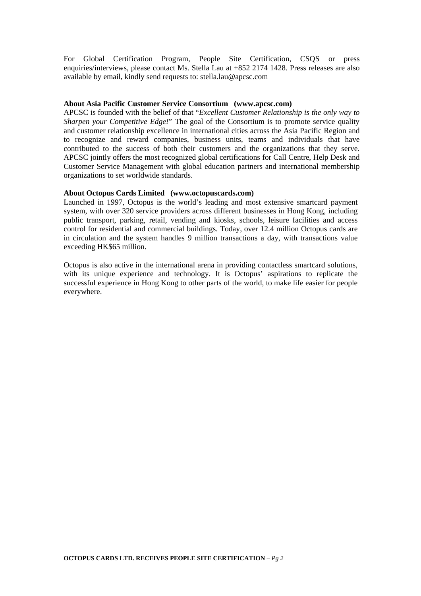For Global Certification Program, People Site Certification, CSQS or press enquiries/interviews, please contact Ms. Stella Lau at +852 2174 1428. Press releases are also available by email, kindly send requests to: stella.lau@apcsc.com

#### **About Asia Pacific Customer Service Consortium (www.apcsc.com)**

APCSC is founded with the belief of that "*Excellent Customer Relationship is the only way to Sharpen your Competitive Edge!*" The goal of the Consortium is to promote service quality and customer relationship excellence in international cities across the Asia Pacific Region and to recognize and reward companies, business units, teams and individuals that have contributed to the success of both their customers and the organizations that they serve. APCSC jointly offers the most recognized global certifications for Call Centre, Help Desk and Customer Service Management with global education partners and international membership organizations to set worldwide standards.

#### **About Octopus Cards Limited (www.octopuscards.com)**

Launched in 1997, Octopus is the world's leading and most extensive smartcard payment system, with over 320 service providers across different businesses in Hong Kong, including public transport, parking, retail, vending and kiosks, schools, leisure facilities and access control for residential and commercial buildings. Today, over 12.4 million Octopus cards are in circulation and the system handles 9 million transactions a day, with transactions value exceeding HK\$65 million.

Octopus is also active in the international arena in providing contactless smartcard solutions, with its unique experience and technology. It is Octopus' aspirations to replicate the successful experience in Hong Kong to other parts of the world, to make life easier for people everywhere.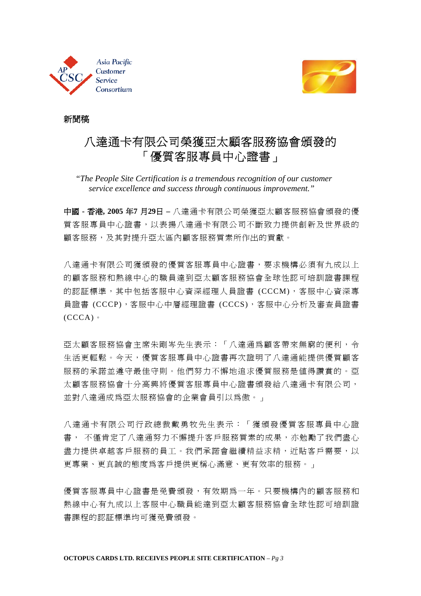



## 新聞稿

# 八達通卡有限公司榮獲亞太顧客服務協會頒發的 「優質客服專員中心證書」

 *"The People Site Certification is a tremendous recognition of our customer service excellence and success through continuous improvement."* 

中國 **-** 香港**, 2005** 年**7** 月**29**日 **–** 八達通卡有限公司榮獲亞太顧客服務協會頒發的優 質客服專員中心證書,以表揚八達通卡有限公司不斷致力提供創新及世界級的 顧客服務,及其對提升亞太區內顧客服務質素所作出的貢獻。

八達通卡有限公司獲頒發的優質客服專員中心證書,要求機構必須有九成以上 的顧客服務和熱線中心的職員達到亞太顧客服務協會全球性認可培訓證書課程 的認証標準,其中包括客服中心資深經理人員證書 (CCCM),客服中心資深專 員證書 (CCCP),客服中心中層經理證書 (CCCS),客服中心分析及審查員證書 (CCCA)。

亞太顧客服務協會主席朱剛岑先生表示:「八達通爲顧客帶來無窮的便利,令 生活更輕鬆。今天,優質客服專員中心證書再次證明了八達通能提供優質顧客 服務的承諾並遵守最佳守則。他們努力不懈地追求優質服務是值得讚賞的。亞 太顧客服務協會十分高興將優質客服專員中心證書頒發給八達通卡有限公司, 並對八達通成為亞太服務協會的企業會員引以為傲。」

八達通卡有限公司行政總裁戴勇牧先生表示:「獲頒發優質客服專員中心證 書, 不僅肯定了八達通努力不懈提升客戶服務質素的成果,亦勉勵了我們盡心 盡力提供卓越客戶服務的員工。我們承諾會繼續精益求精,近貼客戶需要,以 更專業、更真誠的態度為客戶提供更稱心滿意、更有效率的服務。」

優質客服專員中心證書是免費頒發,有效期為一年。只要機構內的顧客服務和 熱線中心有九成以上客服中心職員能達到亞太顧客服務協會全球性認可培訓證 書課程的認証標準均可獲免費頒發。